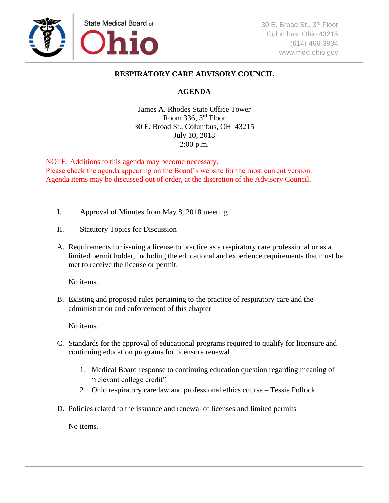

## **RESPIRATORY CARE ADVISORY COUNCIL**

## **AGENDA**

James A. Rhodes State Office Tower Room 336, 3rd Floor 30 E. Broad St., Columbus, OH 43215 July 10, 2018 2:00 p.m.

NOTE: Additions to this agenda may become necessary. Please check the agenda appearing on the Board's website for the most current version. Agenda items may be discussed out of order, at the discretion of the Advisory Council.

\_\_\_\_\_\_\_\_\_\_\_\_\_\_\_\_\_\_\_\_\_\_\_\_\_\_\_\_\_\_\_\_\_\_\_\_\_\_\_\_\_\_\_\_\_\_\_\_\_\_\_\_\_\_\_\_\_\_\_\_\_\_\_\_\_\_\_\_\_\_

- I. Approval of Minutes from May 8, 2018 meeting
- II. Statutory Topics for Discussion
- A. Requirements for issuing a license to practice as a respiratory care professional or as a limited permit holder, including the educational and experience requirements that must be met to receive the license or permit.

No items.

B. Existing and proposed rules pertaining to the practice of respiratory care and the administration and enforcement of this chapter

No items.

- C. Standards for the approval of educational programs required to qualify for licensure and continuing education programs for licensure renewal
	- 1. Medical Board response to continuing education question regarding meaning of "relevant college credit"
	- 2. Ohio respiratory care law and professional ethics course Tessie Pollock
- D. Policies related to the issuance and renewal of licenses and limited permits

No items.